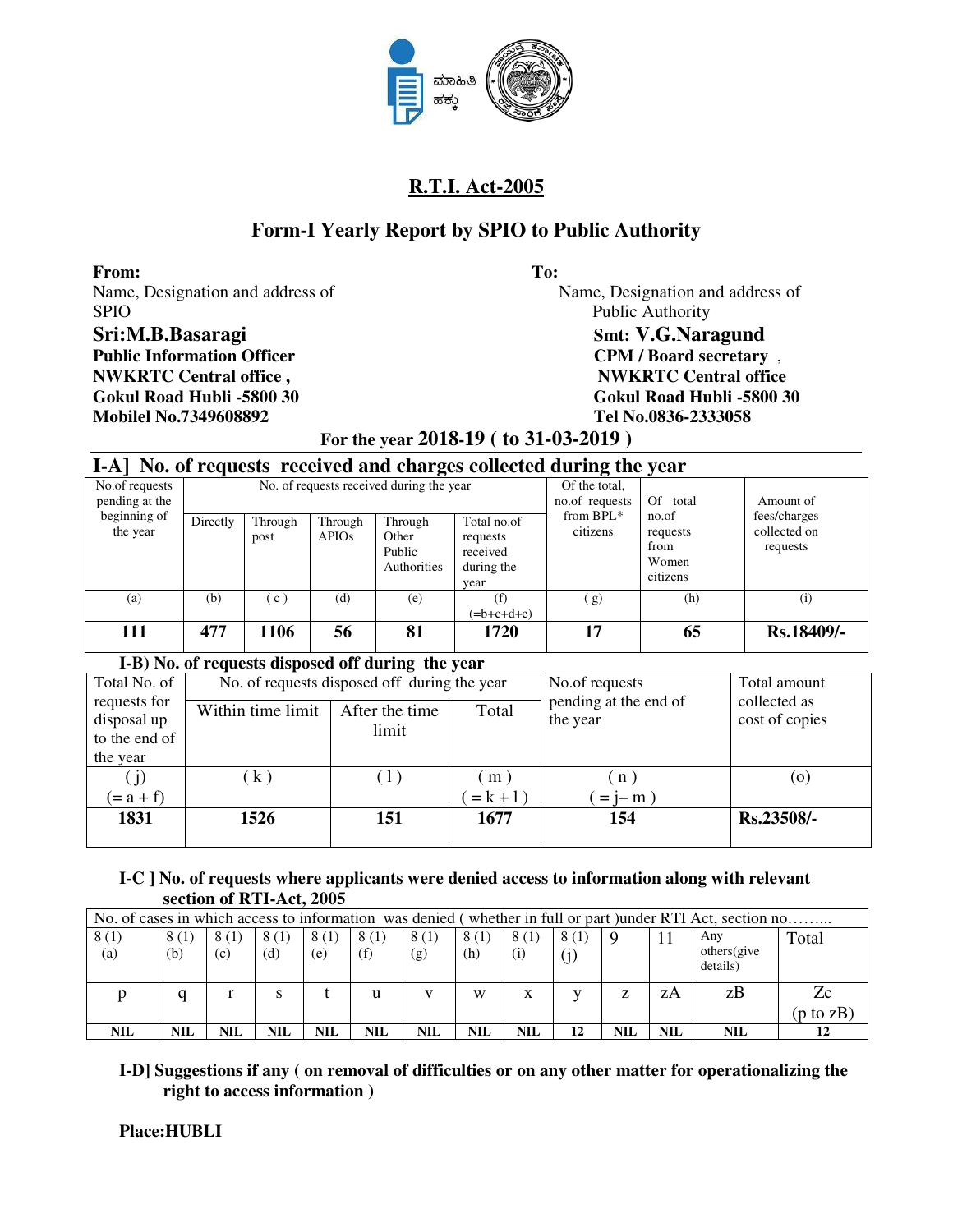

# **Form-I Yearly Report by SPIO to Public Authority**

**From: To:**  SPIO Public Authority Sri:M.B.Basaragi<br>
Smt: V.G.Naragund **Public Information Officer CPM / Board secretary** , **NWKRTC Central office,** NWKRTC Central office **Mobilel No.7349608892 Tel No.0836-2333058**

Name, Designation and address of Name, Designation and address of **Gokul Road Hubli -5800 30 Gokul Road Hubli -5800 30** 

#### **For the year 2018-19 ( to 31-03-2019 )**

#### **I-A] No. of requests received and charges collected during the year**

|                                  |          |                     |                         | $\epsilon$                                |                                                           | $\epsilon$                      | $\cdot$                                        |                                          |
|----------------------------------|----------|---------------------|-------------------------|-------------------------------------------|-----------------------------------------------------------|---------------------------------|------------------------------------------------|------------------------------------------|
| No.of requests<br>pending at the |          |                     |                         | No. of requests received during the year  |                                                           | Of the total,<br>no.of requests | Of total                                       | Amount of                                |
| beginning of<br>the year         | Directly | Through<br>post     | Through<br><b>APIOs</b> | Through<br>Other<br>Public<br>Authorities | Total no.of<br>requests<br>received<br>during the<br>year | from BPL*<br>citizens           | no.of<br>requests<br>from<br>Women<br>citizens | fees/charges<br>collected on<br>requests |
| (a)                              | (b)      | $\lfloor c \rfloor$ | (d)                     | (e)                                       | (f)<br>$(=b+c+d+e)$                                       | (g)                             | (h)                                            | (i)                                      |
| 111                              | 477      | 1106                | 56                      | 81                                        | 1720                                                      | 17                              | 65                                             | Rs.18409/-                               |

#### **I-B) No. of requests disposed off during the year**

| Total No. of                |                   | No. of requests disposed off during the year |           | No.of requests                    | Total amount                   |
|-----------------------------|-------------------|----------------------------------------------|-----------|-----------------------------------|--------------------------------|
| requests for<br>disposal up | Within time limit | After the time                               | Total     | pending at the end of<br>the year | collected as<br>cost of copies |
| to the end of               |                   | limit                                        |           |                                   |                                |
| the year                    |                   |                                              |           |                                   |                                |
| (j)                         | (k)               | (1)                                          | (m)       | (n)                               | $\left( 0 \right)$             |
| $(=a+f)$                    |                   |                                              | $= k + 1$ | $=$ j-m $)$                       |                                |
| 1831                        | 1526              | 151                                          | 1677      | 154                               | Rs.23508/-                     |
|                             |                   |                                              |           |                                   |                                |

#### **I-C ] No. of requests where applicants were denied access to information along with relevant section of RTI-Act, 2005**

|             | No. of cases in which access to information was denied (whether in full or part) under RTI Act, section no |             |             |             |             |             |             |             |             |     |     |                                 |               |
|-------------|------------------------------------------------------------------------------------------------------------|-------------|-------------|-------------|-------------|-------------|-------------|-------------|-------------|-----|-----|---------------------------------|---------------|
| 8(1)<br>(a) | 8 (1)<br>(b)                                                                                               | 8(1)<br>(c) | 8(1)<br>(d) | 8(1)<br>(e) | 8(1)<br>(f) | 8(1)<br>(g) | 8(1)<br>(h) | 8(1)<br>(i) | 8(1)<br>(j) | -9  |     | Anv<br>others (give<br>details) | Total         |
|             |                                                                                                            |             |             |             | u           |             | W           | x           |             | Z   | zΑ  | zB                              | Zc            |
|             |                                                                                                            |             |             |             |             |             |             |             |             |     |     |                                 | (p to z $B$ ) |
| NIL         | NIL                                                                                                        | NIL         | NIL         | NIL         | NIL         | NIL         | NIL         | <b>NIL</b>  | 12          | NIL | NIL | NIL                             | 12            |

#### **I-D] Suggestions if any ( on removal of difficulties or on any other matter for operationalizing the right to access information )**

 **Place:HUBLI**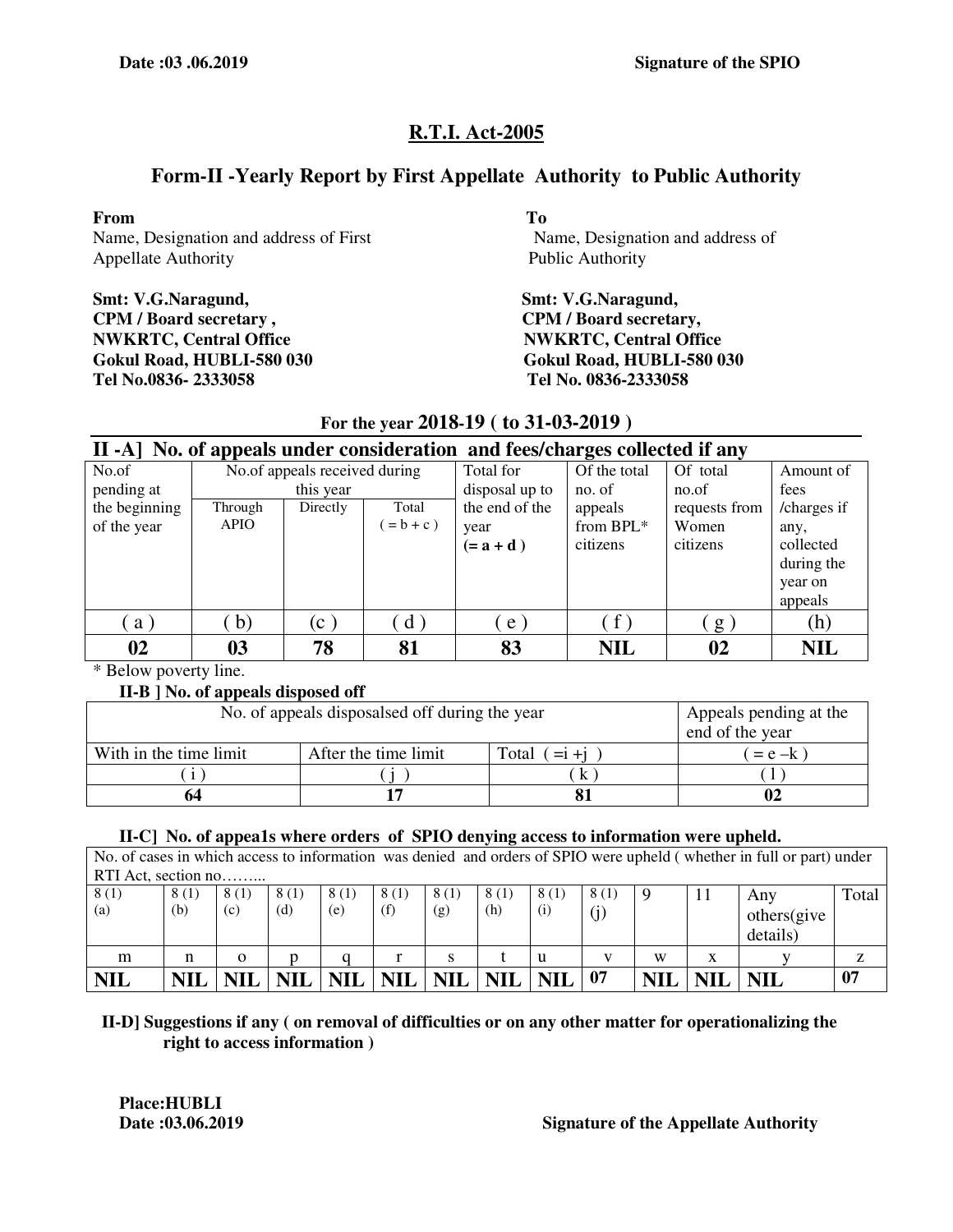# **Form-II -Yearly Report by First Appellate Authority to Public Authority**

**From To** 

Name, Designation and address of First Name, Designation and address of Appellate Authority Public Authority

**Smt: V.G.Naragund, Smt: V.G.Naragund, CPM / Board secretary , CPM / Board secretary, NWKRTC, Central Office**   $\bullet$  **NWKRTC, Central Office Tel No.0836- 2333058 Tel No. 0836-2333058**

**Gokul Road, HUBLI-580 030 Gokul Road, HUBLI-580 030** 

|               | II -A] No. of appeals under consideration and fees/charges collected if any |                               |             |                |              |               |             |  |  |  |  |  |
|---------------|-----------------------------------------------------------------------------|-------------------------------|-------------|----------------|--------------|---------------|-------------|--|--|--|--|--|
| No.of         |                                                                             | No.of appeals received during |             | Total for      | Of the total | Of total      | Amount of   |  |  |  |  |  |
| pending at    |                                                                             | this year                     |             | disposal up to | no. of       | no.of         | fees        |  |  |  |  |  |
| the beginning | Through                                                                     | Directly                      | Total       | the end of the | appeals      | requests from | /charges if |  |  |  |  |  |
| of the year   | <b>APIO</b>                                                                 |                               | $= b + c$ ) | year           | from $BPL^*$ | Women         | any,        |  |  |  |  |  |
|               |                                                                             |                               |             | $(=a+d)$       | citizens     | citizens      | collected   |  |  |  |  |  |
|               |                                                                             |                               |             |                |              |               | during the  |  |  |  |  |  |
|               |                                                                             |                               |             |                |              |               | year on     |  |  |  |  |  |
|               |                                                                             |                               |             |                |              |               | appeals     |  |  |  |  |  |
| a)            | $\mathbf{b}$                                                                | $(c-)$                        | $d$ )       | e              | $\hat{f}$    | g             | (h)         |  |  |  |  |  |
| 02            | 03                                                                          | 78                            | 81          | 83             | <b>NIL</b>   | 02            | <b>NIL</b>  |  |  |  |  |  |

## **For the year 2018-19 ( to 31-03-2019 )**

\* Below poverty line.

#### **II-B ] No. of appeals disposed off**

| No. of appeals disposalsed off during the year | Appeals pending at the<br>end of the year |  |  |  |  |  |  |
|------------------------------------------------|-------------------------------------------|--|--|--|--|--|--|
| With in the time limit                         | After the time limit<br>Total $(=i+i)$    |  |  |  |  |  |  |
|                                                |                                           |  |  |  |  |  |  |
| 64                                             |                                           |  |  |  |  |  |  |

#### **II-C] No. of appea1s where orders of SPIO denying access to information were upheld.**

No. of cases in which access to information was denied and orders of SPIO were upheld ( whether in full or part) under RTI Act, section no.

| 8(1)<br>$\left( a\right)$ | 8(1)<br>(b) | 8(1)<br>(c) | 8(1)<br>(d) | 8(1)<br>(e) | 8(1)<br>(f) | 8(1)<br>(g) | 8(1)<br>(h) | 8(1)<br>(i) | 8(1)<br>U, | Q          | 1 L               | Any<br>others(give<br>details) | Total |
|---------------------------|-------------|-------------|-------------|-------------|-------------|-------------|-------------|-------------|------------|------------|-------------------|--------------------------------|-------|
| m                         | n           | O           |             |             |             |             |             | u           | v.         | W          | $\mathbf{v}$<br>A |                                | z     |
| <b>NIL</b>                | <b>NIL</b>  | NIL         | <b>NIL</b>  | <b>NIL</b>  | <b>NII</b>  | <b>NIL</b>  | <b>NIL</b>  | <b>NIL</b>  | 07         | <b>NIL</b> | <b>NIL</b>        | <b>NIL</b>                     | 07    |

## **II-D] Suggestions if any ( on removal of difficulties or on any other matter for operationalizing the right to access information )**

**Place:HUBLI**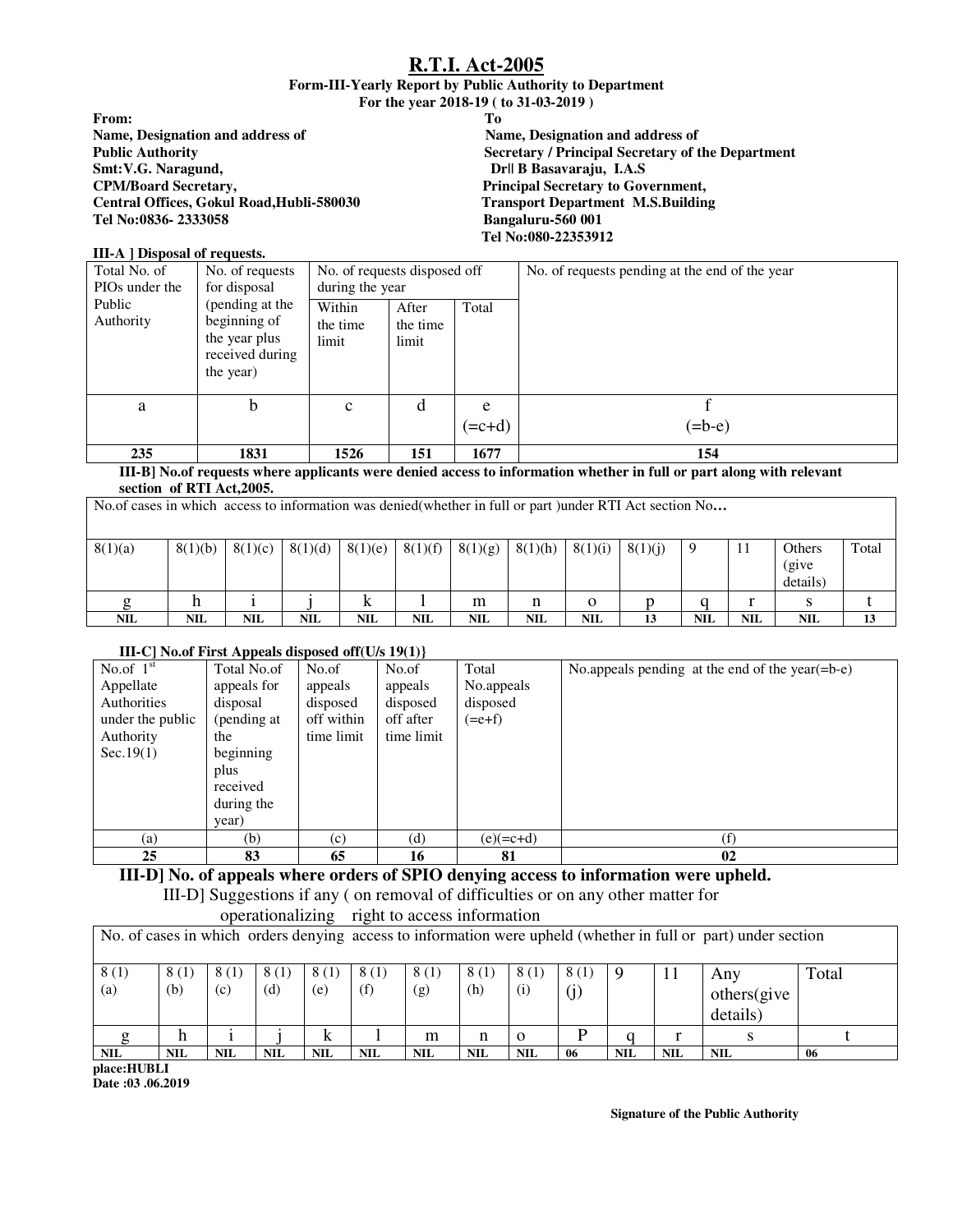**Form-III-Yearly Report by Public Authority to Department** 

**For the year 2018-19 ( to 31-03-2019 )** 

**From: To Name, Designation and address of <br>
Public Authority Contract and address of Public Authority of the Secretary / Principal Secretary of the Secretary of the Secretary of the Secretary of the Secretary of the Secretary of t Smt:V.G. Naragund, Dr|| B Basavaraju, I.A.S CPM/Board Secretary, Principal Secretary to Government, Central Offices, Gokul Road,Hubli-580030** Transport Departm<br>Tel No:0836-2333058 Bangaluru-560 001  $Tel No:0836-2333058$ 

**Secretary / Principal Secretary of the Department Tel No:080-22353912** 

#### **III-A ] Disposal of requests.**

| Total No. of<br>PIO <sub>s</sub> under the | No. of requests<br>for disposal                                                  | No. of requests disposed off<br>during the year |                            |               | No. of requests pending at the end of the year |
|--------------------------------------------|----------------------------------------------------------------------------------|-------------------------------------------------|----------------------------|---------------|------------------------------------------------|
| Public<br>Authority                        | (pending at the<br>beginning of<br>the year plus<br>received during<br>the year) | Within<br>the time<br>limit                     | After<br>the time<br>limit | Total         |                                                |
| a                                          | b                                                                                | $\mathbf c$                                     | d                          | e<br>$(=c+d)$ | $(=b-e)$                                       |
| 235                                        | 1831                                                                             | 1526                                            | 151                        | 1677          | 154                                            |

#### **III-B] No.of requests where applicants were denied access to information whether in full or part along with relevant section of RTI Act,2005.**

| No.of cases in which access to information was denied(whether in full or part) under RTI Act section No |         |         |            |         |            |         |            |            |         |            |            |                             |       |
|---------------------------------------------------------------------------------------------------------|---------|---------|------------|---------|------------|---------|------------|------------|---------|------------|------------|-----------------------------|-------|
| 8(1)(a)                                                                                                 | 8(1)(b) | 8(1)(c) | 8(1)(d)    | 8(1)(e) | 8(1)(f)    | 8(1)(g) | 8(1)(h)    | 8(1)(i)    | 8(1)(i) |            | -11        | Others<br>(give<br>details) | Total |
|                                                                                                         |         |         |            |         |            | m       | n          | 0          |         |            |            |                             |       |
| <b>NIL</b>                                                                                              | NIL     | NIL     | <b>NIL</b> | NIL     | <b>NIL</b> | NIL     | <b>NIL</b> | <b>NIL</b> | 13      | <b>NIL</b> | <b>NIL</b> | <b>NIL</b>                  | 13    |

#### **III-C] No.of First Appeals disposed off(U/s 19(1)}**

| No.of $1st$<br>Appellate<br>Authorities<br>under the public<br>Authority<br>Sec.19(1) | Total No.of<br>appeals for<br>disposal<br>(pending at<br>the<br>beginning<br>plus<br>received | No.of<br>appeals<br>disposed<br>off within<br>time limit | No.of<br>appeals<br>disposed<br>off after<br>time limit | Total<br>No.appeals<br>disposed<br>$(=e+f)$ | No.appeals pending at the end of the year( $=$ b $-e$ ) |
|---------------------------------------------------------------------------------------|-----------------------------------------------------------------------------------------------|----------------------------------------------------------|---------------------------------------------------------|---------------------------------------------|---------------------------------------------------------|
|                                                                                       | during the<br>year)                                                                           |                                                          |                                                         |                                             |                                                         |
| (a)                                                                                   | (b)                                                                                           | (c)                                                      | (d)                                                     | $(e)(=c+d)$                                 | (f)                                                     |
| 25                                                                                    | 83                                                                                            | 65                                                       | 16                                                      | 81                                          | 02                                                      |

**III-D] No. of appeals where orders of SPIO denying access to information were upheld.**  III-D] Suggestions if any ( on removal of difficulties or on any other matter for

operationalizing right to access information

|             | No. of cases in which orders denying access to information were upheld (whether in full or part) under section |             |             |             |             |             |             |             |      |            |            |                                |       |
|-------------|----------------------------------------------------------------------------------------------------------------|-------------|-------------|-------------|-------------|-------------|-------------|-------------|------|------------|------------|--------------------------------|-------|
| 8(1)<br>(a) | 8(1)<br>(b)                                                                                                    | 8(1)<br>(c) | 8(1)<br>(d) | 8(1)<br>(e) | 8(1)<br>(f) | 8(1)<br>(g) | 8(1)<br>(h) | 8(1)<br>(i) | 8(1) |            |            | Anv<br>others(give<br>details) | Total |
|             |                                                                                                                |             |             |             |             | m           | n           | $\Omega$    |      |            |            |                                |       |
| <b>NIL</b>  | <b>NIL</b>                                                                                                     | <b>NIL</b>  | <b>NIL</b>  | NIL         | <b>NIL</b>  | <b>NIL</b>  | <b>NIL</b>  | <b>NIL</b>  | 06   | <b>NIL</b> | <b>NIL</b> | <b>NIL</b>                     | -06   |

**place:HUBLI Date :03 .06.2019** 

 **Signature of the Public Authority**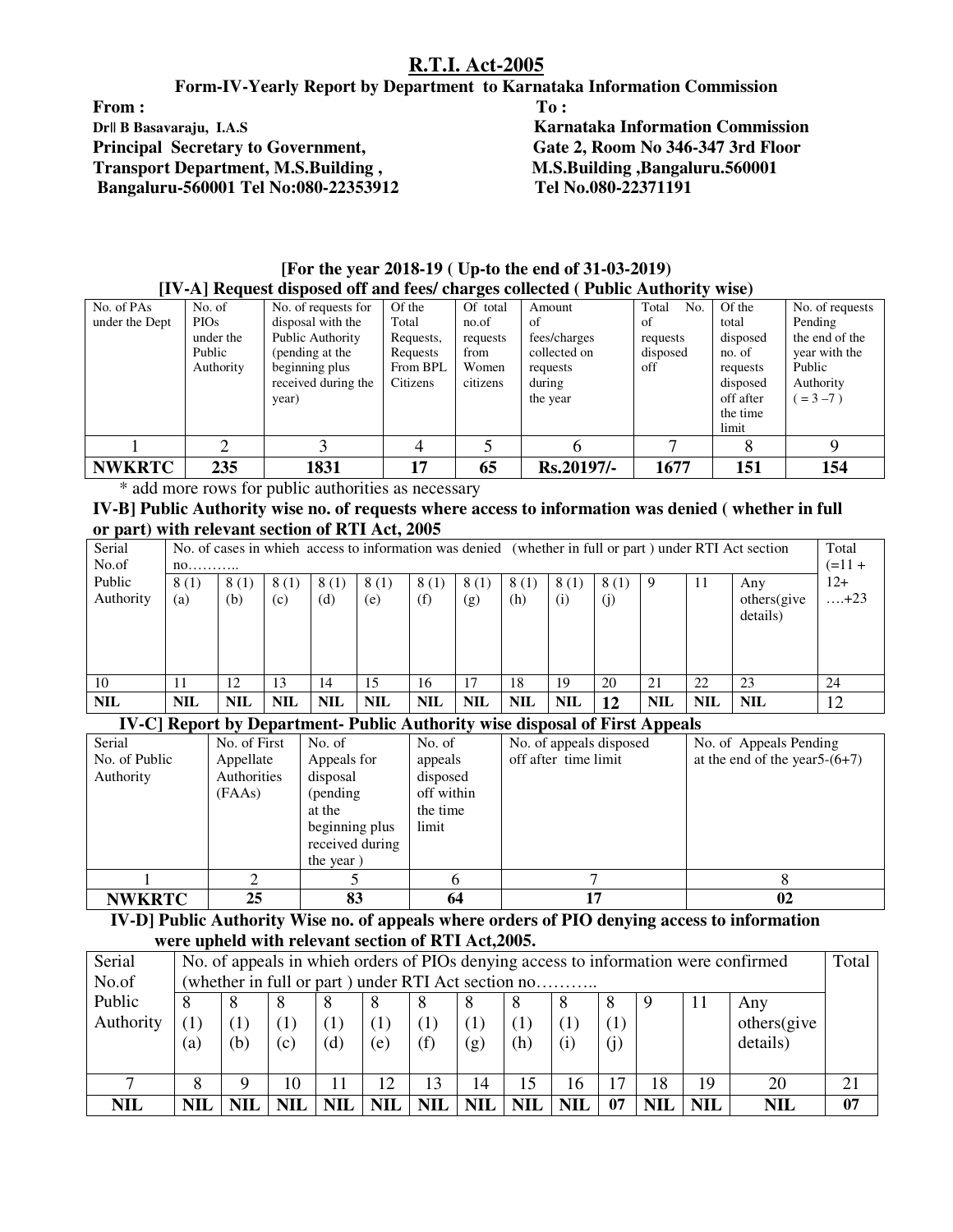**Form-IV-Yearly Report by Department to Karnataka Information Commission** 

From : To : The second second second second second second second second second second second second second second second second second second second second second second second second second second second second second sec **Dr|| B Basavaraju, I.A.S**<br> **Principal Secretary to Government, Secretary and Beam Secretary in the Gate 2, Room No 346-347 3rd Floor Principal Secretary to Government, Transport Department, M.S.Building , M.S.Building ,Bangaluru.560001 Bangaluru-560001 Tel No:080-22353912 Tel No.080-22371191** 

|                |             | $\left(1 \right)$ . A contract the poset of and lets charges concluded a fundle and $\left(1 \right)$ wise) |           |          |              |              |           |                 |
|----------------|-------------|-------------------------------------------------------------------------------------------------------------|-----------|----------|--------------|--------------|-----------|-----------------|
| No. of PAs     | No. of      | No. of requests for                                                                                         | Of the    | Of total | Amount       | Total<br>No. | Of the    | No. of requests |
| under the Dept | <b>PIOs</b> | disposal with the                                                                                           | Total     | no.of    | οf           | of           | total     | Pending         |
|                | under the   | Public Authority                                                                                            | Requests, | requests | fees/charges | requests     | disposed  | the end of the  |
|                | Public      | (pending at the                                                                                             | Requests  | from     | collected on | disposed     | no. of    | year with the   |
|                | Authority   | beginning plus                                                                                              | From BPL  | Women    | requests     | off          | requests  | Public          |
|                |             | received during the                                                                                         | Citizens  | citizens | during       |              | disposed  | Authority       |
|                |             | year)                                                                                                       |           |          | the year     |              | off after | $= 3 - 7$ )     |
|                |             |                                                                                                             |           |          |              |              | the time  |                 |
|                |             |                                                                                                             |           |          |              |              | limit     |                 |
|                |             |                                                                                                             |           |          |              |              |           |                 |
| <b>NWKRTC</b>  | 235         | 1831                                                                                                        | 17        | 65       | Rs.20197/-   | 1677         | 151       | 154             |

| [For the year 2018-19 ( Up-to the end of 31-03-2019)                             |  |
|----------------------------------------------------------------------------------|--|
| [IV-A] Request disposed off and fees/ charges collected ( Public Authority wise) |  |

\* add more rows for public authorities as necessary

**IV-B] Public Authority wise no. of requests where access to information was denied ( whether in full or part) with relevant section of RTI Act, 2005** 

| Serial     |            |            |            |            |            |            |            |            |            |      |            |            | No. of cases in which access to information was denied (whether in full or part) under RTI Act section | Total       |
|------------|------------|------------|------------|------------|------------|------------|------------|------------|------------|------|------------|------------|--------------------------------------------------------------------------------------------------------|-------------|
| No.of      | $n0$       |            |            |            |            |            |            | $(=11 +$   |            |      |            |            |                                                                                                        |             |
| Public     | 8(1)       | 8(1)       | 8(1)       | 8(1)       | 8(1)       | 8(1)       | 8(1)       | 8(1)       | 8(1)       | 8(1) |            | 11         | Any                                                                                                    | $12+$       |
| Authority  | (a)        | (b)        | (c)        | (d)        | (e)        | (f)        | (g)        | (h)        | (i)        | (i)  |            |            | others(give                                                                                            | $\dots +23$ |
|            |            |            |            |            |            |            |            |            |            |      |            |            | details)                                                                                               |             |
|            |            |            |            |            |            |            |            |            |            |      |            |            |                                                                                                        |             |
|            |            |            |            |            |            |            |            |            |            |      |            |            |                                                                                                        |             |
|            |            |            |            |            |            |            |            |            |            |      |            |            |                                                                                                        |             |
| 10         | 11         | 12         | 13         | 14         | 15         | 16         | 17         | 18         | 19         | 20   | 21         | 22         | 23                                                                                                     | 24          |
| <b>NIL</b> | <b>NIL</b> | <b>NIL</b> | <b>NIL</b> | <b>NIL</b> | <b>NIL</b> | <b>NIL</b> | <b>NIL</b> | <b>NIL</b> | <b>NIL</b> | 12   | <b>NIL</b> | <b>NIL</b> | <b>NIL</b>                                                                                             | 12          |

#### **IV-C] Report by Department- Public Authority wise disposal of First Appeals**

| Serial        | No. of First | No. of          | No. of       | No. of appeals disposed | No. of Appeals Pending           |
|---------------|--------------|-----------------|--------------|-------------------------|----------------------------------|
| No. of Public | Appellate    | Appeals for     | appeals      | off after time limit    | at the end of the year $5-(6+7)$ |
| Authority     | Authorities  | disposal        | disposed     |                         |                                  |
|               | (FAAs)       | (pending)       | off within   |                         |                                  |
|               |              | at the          | the time     |                         |                                  |
|               |              | beginning plus  | limit        |                         |                                  |
|               |              | received during |              |                         |                                  |
|               |              | the year)       |              |                         |                                  |
|               |              |                 | <sub>0</sub> |                         |                                  |
| <b>NWKRTC</b> | 25           | 83              | 64           |                         | 02                               |

 **IV-D] Public Authority Wise no. of appeals where orders of PIO denying access to information were upheld with relevant section of RTI Act,2005.** 

| Serial<br>No.of |     | No. of appeals in which orders of PIOs denying access to information were confirmed<br>(whether in full or part) under RTI Act section no |            |            |            |                  |            |            |            | Total            |     |            |             |    |
|-----------------|-----|-------------------------------------------------------------------------------------------------------------------------------------------|------------|------------|------------|------------------|------------|------------|------------|------------------|-----|------------|-------------|----|
| Public          |     |                                                                                                                                           | 8          |            | δ          |                  | 8          |            |            |                  |     | $\perp$    | Any         |    |
| Authority       |     |                                                                                                                                           |            |            | $\perp$    | $\left(1\right)$ | (1)        |            |            | $\left(1\right)$ |     |            | others(give |    |
|                 | (a) | (b)                                                                                                                                       | (c)        | (d)        | (e)        | (f)              | (g)        | (h)        | (i)        | $\rm (j)$        |     |            | details)    |    |
|                 |     |                                                                                                                                           |            |            |            |                  |            |            |            |                  |     |            |             |    |
|                 | 8   |                                                                                                                                           | 10         |            | 12         | 13               | 14         | 15         | 16         | 17               | 18  | 19         | 20          | 21 |
| <b>NIL</b>      | NIL |                                                                                                                                           | <b>NIL</b> | <b>NIL</b> | <b>NIL</b> | NIL              | <b>NIL</b> | <b>NIL</b> | <b>NIL</b> | 07               | NIL | <b>NIL</b> | NIL         | 07 |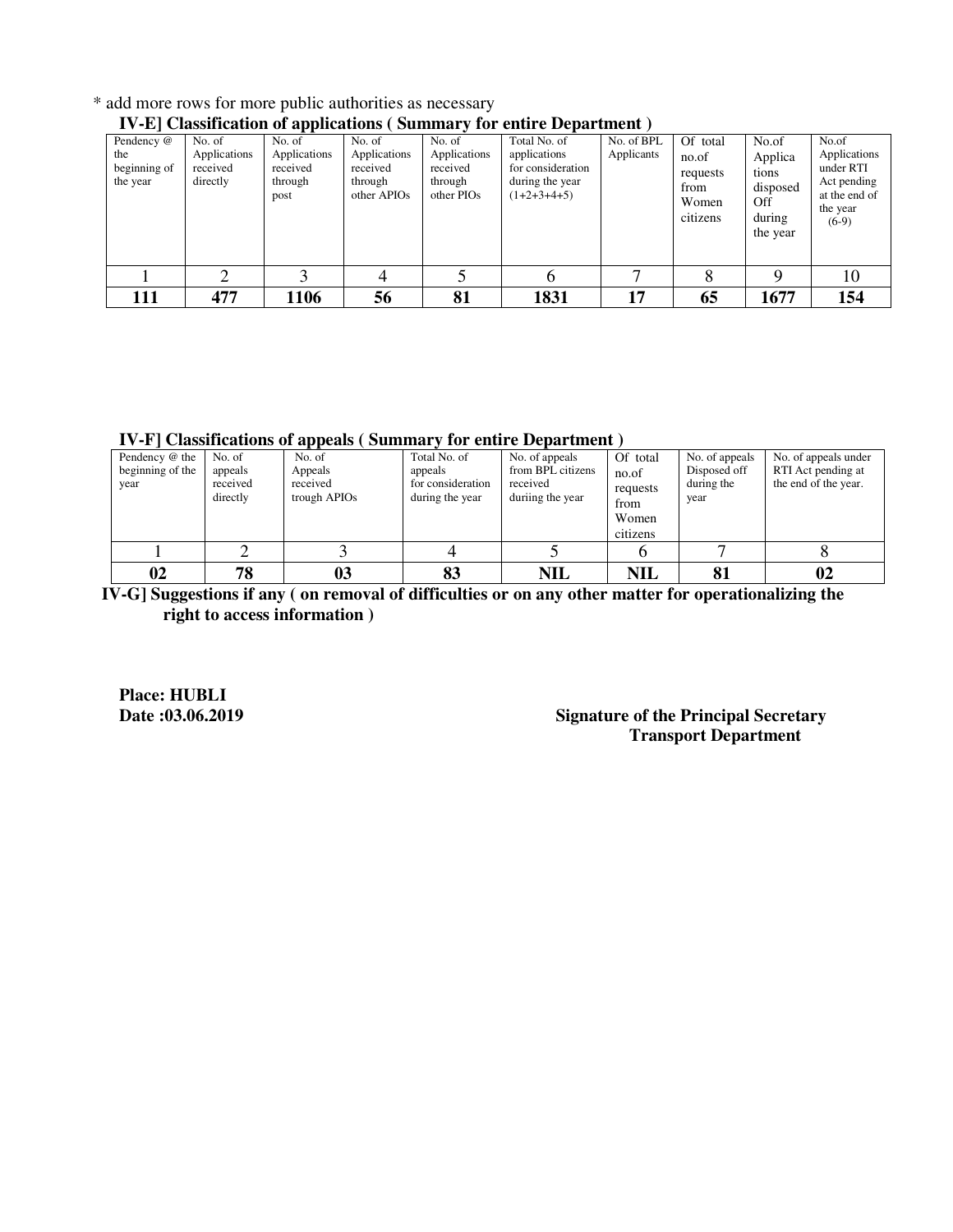|                                               |                                                |                                                       |                                                                          |                                                             | TV-E Classification of applications (Summary for chiffe Department)                   |                          |                                                            |                                                                    |                                                                                           |
|-----------------------------------------------|------------------------------------------------|-------------------------------------------------------|--------------------------------------------------------------------------|-------------------------------------------------------------|---------------------------------------------------------------------------------------|--------------------------|------------------------------------------------------------|--------------------------------------------------------------------|-------------------------------------------------------------------------------------------|
| Pendency @<br>the<br>beginning of<br>the year | No. of<br>Applications<br>received<br>directly | No. of<br>Applications<br>received<br>through<br>post | No. of<br>Applications<br>received<br>through<br>other APIO <sub>s</sub> | No. of<br>Applications<br>received<br>through<br>other PIOs | Total No. of<br>applications<br>for consideration<br>during the year<br>$(1+2+3+4+5)$ | No. of BPL<br>Applicants | Of total<br>no.of<br>requests<br>from<br>Women<br>citizens | No.of<br>Applica<br>tions<br>disposed<br>Off<br>during<br>the year | No.of<br>Applications<br>under RTI<br>Act pending<br>at the end of<br>the year<br>$(6-9)$ |
|                                               |                                                |                                                       | 4                                                                        |                                                             | n                                                                                     |                          |                                                            |                                                                    | 10                                                                                        |
| 111                                           | 477                                            | 1106                                                  | 56                                                                       | 81                                                          | 1831                                                                                  | 17                       | 65                                                         | 1677                                                               | 154                                                                                       |

\* add more rows for more public authorities as necessary

## **IV-E] Classification of applications ( Summary for entire Department )**

**IV-F] Classifications of appeals ( Summary for entire Department )** 

| Pendency @ the<br>beginning of the<br>year | No. of<br>appeals<br>received<br>directly | No. of<br>Appeals<br>received<br>trough APIO <sub>s</sub> | Total No. of<br>appeals<br>for consideration<br>during the year | No. of appeals<br>from BPL citizens<br>received<br>duriing the year | Of total<br>no.of<br>requests<br>from<br>Women<br>citizens | No. of appeals<br>Disposed off<br>during the<br>year | No. of appeals under<br>RTI Act pending at<br>the end of the year. |
|--------------------------------------------|-------------------------------------------|-----------------------------------------------------------|-----------------------------------------------------------------|---------------------------------------------------------------------|------------------------------------------------------------|------------------------------------------------------|--------------------------------------------------------------------|
|                                            |                                           |                                                           |                                                                 |                                                                     |                                                            |                                                      |                                                                    |
| 02                                         | 78                                        | 0 <sub>3</sub>                                            | 83                                                              | <b>NIL</b>                                                          | <b>NIL</b>                                                 | 81                                                   | 02                                                                 |

 **IV-G] Suggestions if any ( on removal of difficulties or on any other matter for operationalizing the right to access information )** 

**Place: HUBLI** 

## **Signature of the Principal Secretary Transport Department**